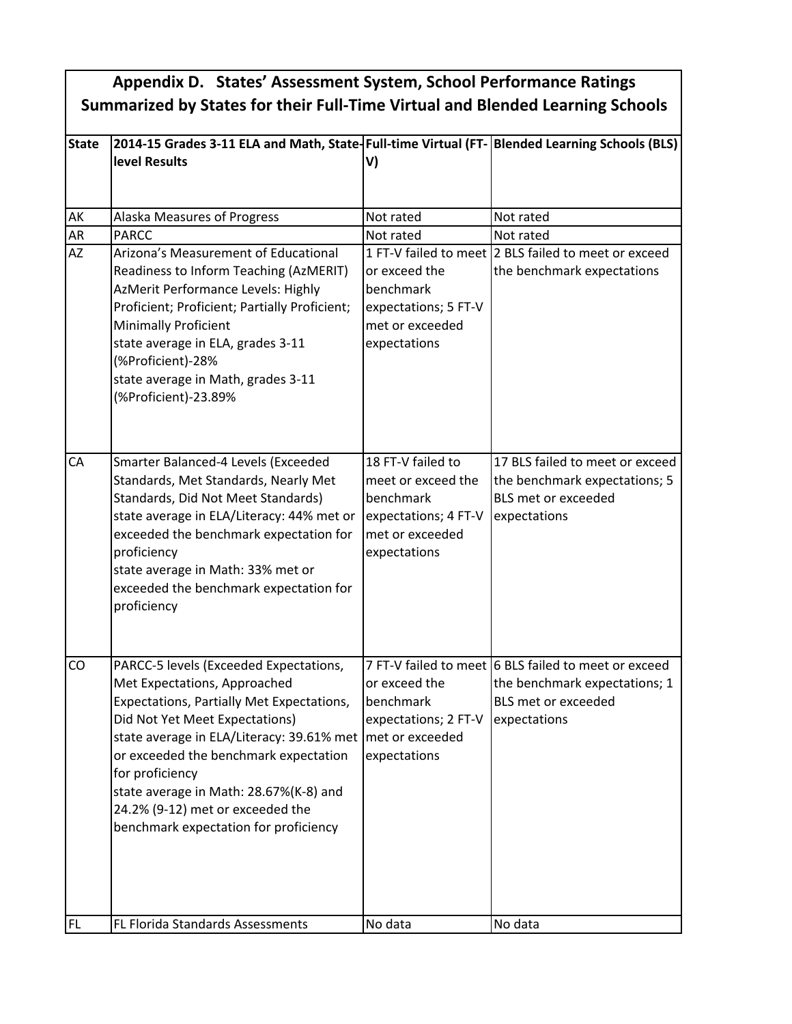## **Appendix D. States' Assessment System, School Performance Ratings Summarized by States for their Full-Time Virtual and Blended Learning Schools**

| <b>State</b> | 2014-15 Grades 3-11 ELA and Math, State-Full-time Virtual (FT-Blended Learning Schools (BLS)                                                                                                                                                                                                                                                                                                            |                                                                                                                 |                                                                                                                                     |  |
|--------------|---------------------------------------------------------------------------------------------------------------------------------------------------------------------------------------------------------------------------------------------------------------------------------------------------------------------------------------------------------------------------------------------------------|-----------------------------------------------------------------------------------------------------------------|-------------------------------------------------------------------------------------------------------------------------------------|--|
|              | level Results                                                                                                                                                                                                                                                                                                                                                                                           | V)                                                                                                              |                                                                                                                                     |  |
|              |                                                                                                                                                                                                                                                                                                                                                                                                         |                                                                                                                 |                                                                                                                                     |  |
|              |                                                                                                                                                                                                                                                                                                                                                                                                         |                                                                                                                 |                                                                                                                                     |  |
| AK           | Alaska Measures of Progress                                                                                                                                                                                                                                                                                                                                                                             | Not rated                                                                                                       | Not rated                                                                                                                           |  |
| AR           | <b>PARCC</b>                                                                                                                                                                                                                                                                                                                                                                                            | Not rated                                                                                                       | Not rated                                                                                                                           |  |
| <b>AZ</b>    | Arizona's Measurement of Educational<br>Readiness to Inform Teaching (AzMERIT)<br>AzMerit Performance Levels: Highly<br>Proficient; Proficient; Partially Proficient;<br><b>Minimally Proficient</b><br>state average in ELA, grades 3-11<br>(%Proficient)-28%<br>state average in Math, grades 3-11<br>(%Proficient)-23.89%                                                                            | or exceed the<br>benchmark<br>expectations; 5 FT-V<br>met or exceeded<br>expectations                           | 1 FT-V failed to meet 2 BLS failed to meet or exceed<br>the benchmark expectations                                                  |  |
| CA           | Smarter Balanced-4 Levels (Exceeded<br>Standards, Met Standards, Nearly Met<br>Standards, Did Not Meet Standards)<br>state average in ELA/Literacy: 44% met or<br>exceeded the benchmark expectation for<br>proficiency<br>state average in Math: 33% met or<br>exceeded the benchmark expectation for<br>proficiency                                                                                   | 18 FT-V failed to<br>meet or exceed the<br>benchmark<br>expectations; 4 FT-V<br>met or exceeded<br>expectations | 17 BLS failed to meet or exceed<br>the benchmark expectations; 5<br><b>BLS met or exceeded</b><br>expectations                      |  |
| CO           | PARCC-5 levels (Exceeded Expectations,<br>Met Expectations, Approached<br>Expectations, Partially Met Expectations,<br>Did Not Yet Meet Expectations)<br>state average in ELA/Literacy: 39.61% met   met or exceeded<br>or exceeded the benchmark expectation<br>for proficiency<br>state average in Math: 28.67%(K-8) and<br>24.2% (9-12) met or exceeded the<br>benchmark expectation for proficiency | or exceed the<br>benchmark<br>expectations; 2 FT-V<br>expectations                                              | 7 FT-V failed to meet 6 BLS failed to meet or exceed<br>the benchmark expectations; 1<br><b>BLS met or exceeded</b><br>expectations |  |
| FL           | FL Florida Standards Assessments                                                                                                                                                                                                                                                                                                                                                                        | No data                                                                                                         | No data                                                                                                                             |  |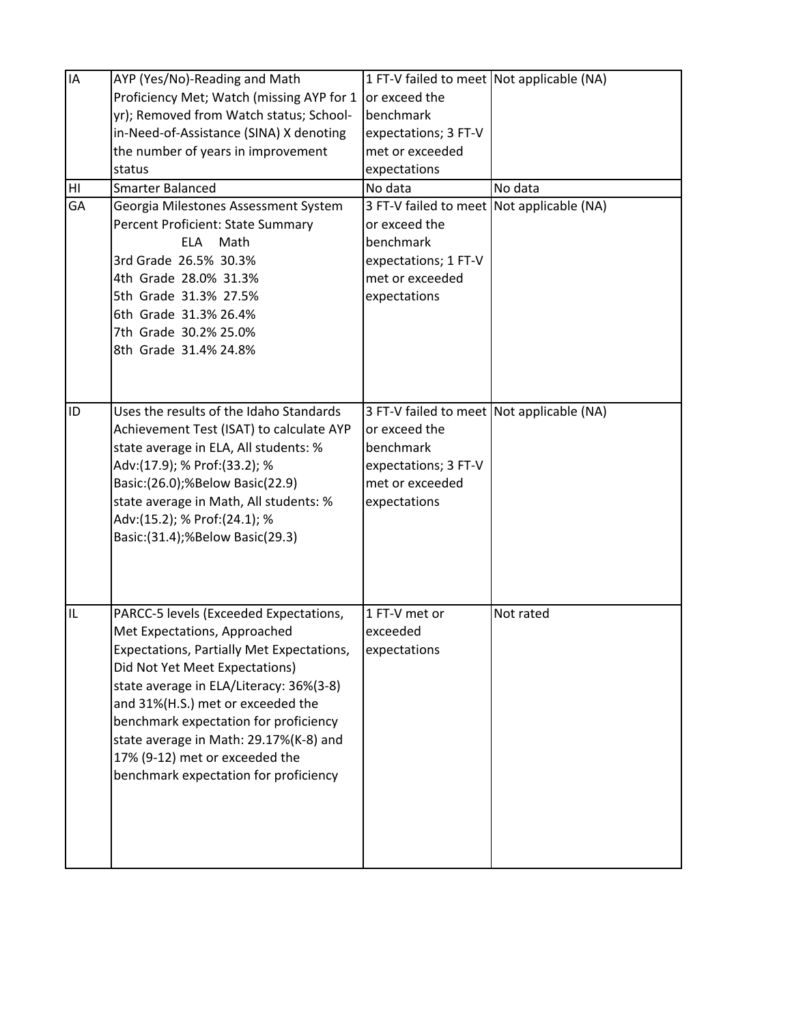| IA | AYP (Yes/No)-Reading and Math             | 1 FT-V failed to meet Not applicable (NA) |           |
|----|-------------------------------------------|-------------------------------------------|-----------|
|    | Proficiency Met; Watch (missing AYP for 1 | or exceed the                             |           |
|    | yr); Removed from Watch status; School-   | benchmark                                 |           |
|    | in-Need-of-Assistance (SINA) X denoting   | expectations; 3 FT-V                      |           |
|    | the number of years in improvement        | met or exceeded                           |           |
|    | status                                    | expectations                              |           |
| HI | <b>Smarter Balanced</b>                   | No data                                   | No data   |
| GA | Georgia Milestones Assessment System      | 3 FT-V failed to meet Not applicable (NA) |           |
|    | Percent Proficient: State Summary         | or exceed the                             |           |
|    | <b>ELA</b><br>Math                        | benchmark                                 |           |
|    | 3rd Grade 26.5% 30.3%                     | expectations; 1 FT-V                      |           |
|    | 4th Grade 28.0% 31.3%                     | met or exceeded                           |           |
|    | 5th Grade 31.3% 27.5%                     | expectations                              |           |
|    | 6th Grade 31.3% 26.4%                     |                                           |           |
|    | 7th Grade 30.2% 25.0%                     |                                           |           |
|    | 8th Grade 31.4% 24.8%                     |                                           |           |
|    |                                           |                                           |           |
|    |                                           |                                           |           |
| ID | Uses the results of the Idaho Standards   | 3 FT-V failed to meet Not applicable (NA) |           |
|    | Achievement Test (ISAT) to calculate AYP  | or exceed the                             |           |
|    | state average in ELA, All students: %     | benchmark                                 |           |
|    | Adv:(17.9); % Prof:(33.2); %              | expectations; 3 FT-V                      |           |
|    | Basic:(26.0);%Below Basic(22.9)           | met or exceeded                           |           |
|    | state average in Math, All students: %    | expectations                              |           |
|    | Adv:(15.2); % Prof:(24.1); %              |                                           |           |
|    | Basic:(31.4);%Below Basic(29.3)           |                                           |           |
|    |                                           |                                           |           |
|    |                                           |                                           |           |
|    |                                           |                                           |           |
| IL | PARCC-5 levels (Exceeded Expectations,    | 1 FT-V met or                             | Not rated |
|    | Met Expectations, Approached              | exceeded                                  |           |
|    | Expectations, Partially Met Expectations, | expectations                              |           |
|    | Did Not Yet Meet Expectations)            |                                           |           |
|    | state average in ELA/Literacy: 36%(3-8)   |                                           |           |
|    | and 31%(H.S.) met or exceeded the         |                                           |           |
|    | benchmark expectation for proficiency     |                                           |           |
|    | state average in Math: 29.17%(K-8) and    |                                           |           |
|    | 17% (9-12) met or exceeded the            |                                           |           |
|    | benchmark expectation for proficiency     |                                           |           |
|    |                                           |                                           |           |
|    |                                           |                                           |           |
|    |                                           |                                           |           |
|    |                                           |                                           |           |
|    |                                           |                                           |           |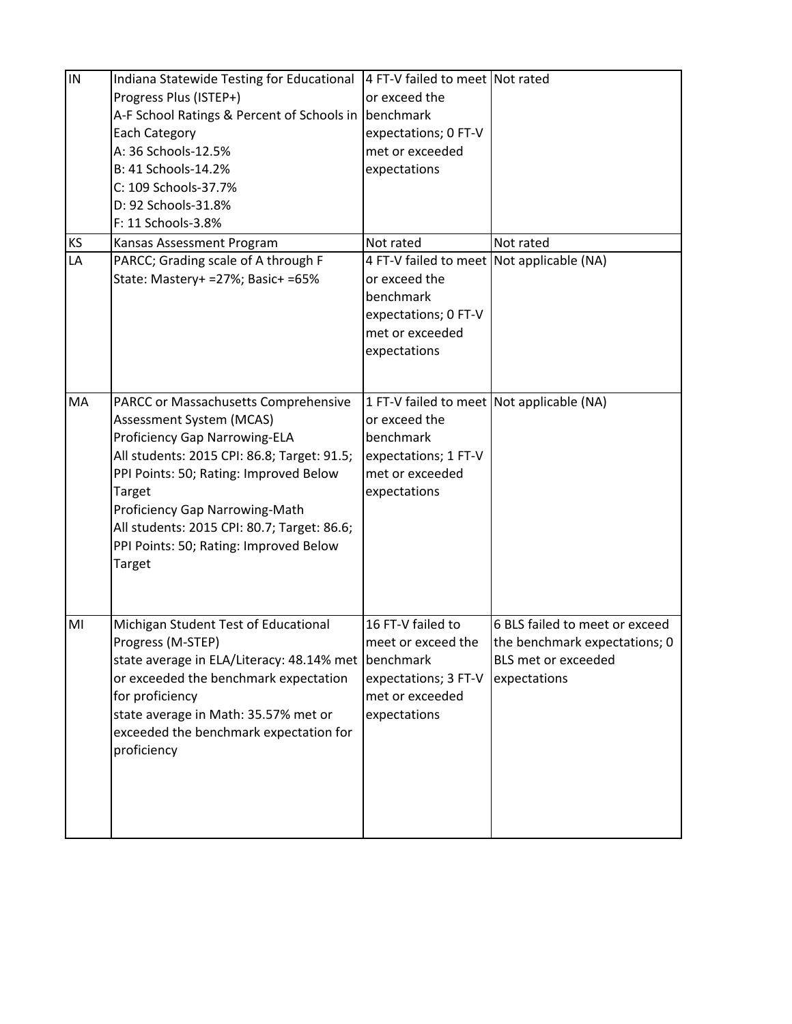| $\overline{\overline{\mathsf{I}}}$ | Indiana Statewide Testing for Educational                                                                                                                                                                                                                                                                                                               | 4 FT-V failed to meet Not rated                                                                                                    |                                                                                                        |
|------------------------------------|---------------------------------------------------------------------------------------------------------------------------------------------------------------------------------------------------------------------------------------------------------------------------------------------------------------------------------------------------------|------------------------------------------------------------------------------------------------------------------------------------|--------------------------------------------------------------------------------------------------------|
|                                    | Progress Plus (ISTEP+)                                                                                                                                                                                                                                                                                                                                  | or exceed the                                                                                                                      |                                                                                                        |
|                                    | A-F School Ratings & Percent of Schools in                                                                                                                                                                                                                                                                                                              | benchmark                                                                                                                          |                                                                                                        |
|                                    | <b>Each Category</b>                                                                                                                                                                                                                                                                                                                                    | expectations; 0 FT-V                                                                                                               |                                                                                                        |
|                                    | A: 36 Schools-12.5%                                                                                                                                                                                                                                                                                                                                     | met or exceeded                                                                                                                    |                                                                                                        |
|                                    | B: 41 Schools-14.2%                                                                                                                                                                                                                                                                                                                                     | expectations                                                                                                                       |                                                                                                        |
|                                    | C: 109 Schools-37.7%                                                                                                                                                                                                                                                                                                                                    |                                                                                                                                    |                                                                                                        |
|                                    | D: 92 Schools-31.8%                                                                                                                                                                                                                                                                                                                                     |                                                                                                                                    |                                                                                                        |
|                                    | F: 11 Schools-3.8%                                                                                                                                                                                                                                                                                                                                      |                                                                                                                                    |                                                                                                        |
| KS                                 | Kansas Assessment Program                                                                                                                                                                                                                                                                                                                               | Not rated                                                                                                                          | Not rated                                                                                              |
| LA                                 | PARCC; Grading scale of A through F<br>State: Mastery+ = 27%; Basic+ = 65%                                                                                                                                                                                                                                                                              | 4 FT-V failed to meet Not applicable (NA)<br>or exceed the<br>benchmark<br>expectations; 0 FT-V<br>met or exceeded<br>expectations |                                                                                                        |
|                                    |                                                                                                                                                                                                                                                                                                                                                         |                                                                                                                                    |                                                                                                        |
| MA                                 | PARCC or Massachusetts Comprehensive<br>Assessment System (MCAS)<br><b>Proficiency Gap Narrowing-ELA</b><br>All students: 2015 CPI: 86.8; Target: 91.5;<br>PPI Points: 50; Rating: Improved Below<br>Target<br>Proficiency Gap Narrowing-Math<br>All students: 2015 CPI: 80.7; Target: 86.6;<br>PPI Points: 50; Rating: Improved Below<br><b>Target</b> | 1 FT-V failed to meet Not applicable (NA)<br>or exceed the<br>benchmark<br>expectations; 1 FT-V<br>met or exceeded<br>expectations |                                                                                                        |
| M <sub>l</sub>                     | Michigan Student Test of Educational<br>Progress (M-STEP)<br>state average in ELA/Literacy: 48.14% met benchmark<br>or exceeded the benchmark expectation<br>for proficiency<br>state average in Math: 35.57% met or<br>exceeded the benchmark expectation for<br>proficiency                                                                           | 16 FT-V failed to<br>meet or exceed the<br>expectations; 3 FT-V<br>met or exceeded<br>expectations                                 | 6 BLS failed to meet or exceed<br>the benchmark expectations; 0<br>BLS met or exceeded<br>expectations |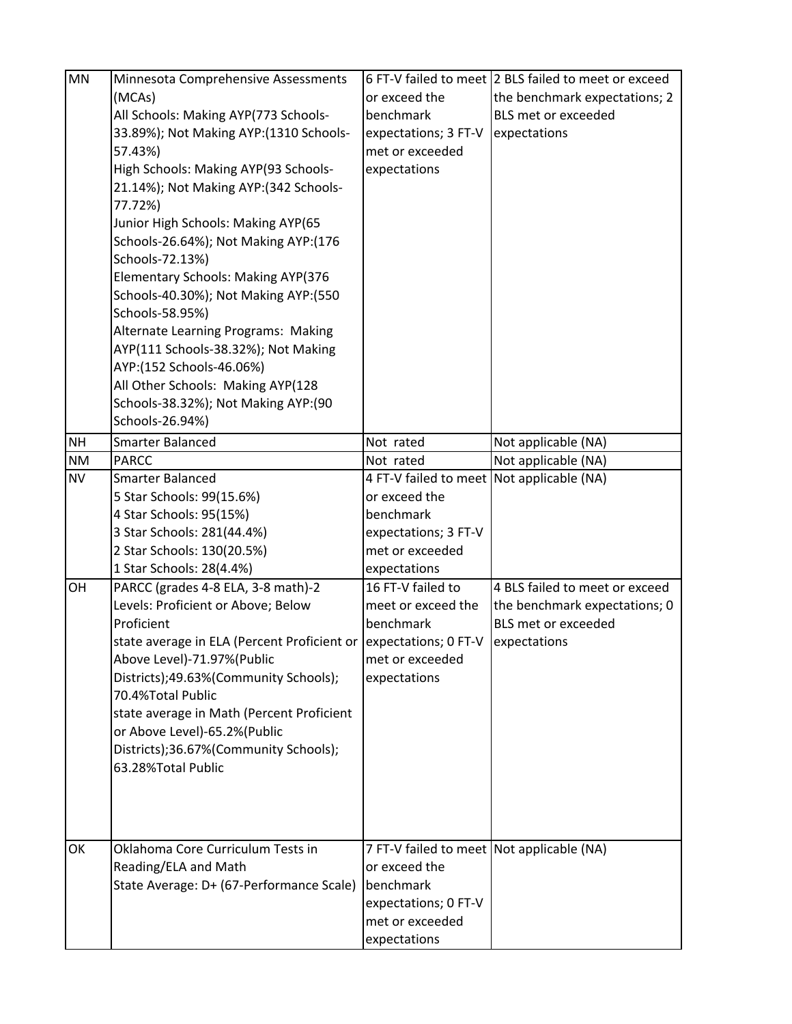| MN        | Minnesota Comprehensive Assessments                                |                                           | 6 FT-V failed to meet 2 BLS failed to meet or exceed |
|-----------|--------------------------------------------------------------------|-------------------------------------------|------------------------------------------------------|
|           | (MCAs)                                                             | or exceed the                             | the benchmark expectations; 2                        |
|           | All Schools: Making AYP(773 Schools-                               | benchmark                                 | BLS met or exceeded                                  |
|           | 33.89%); Not Making AYP: (1310 Schools-                            | expectations; 3 FT-V                      | expectations                                         |
|           | 57.43%)                                                            | met or exceeded                           |                                                      |
|           | High Schools: Making AYP(93 Schools-                               | expectations                              |                                                      |
|           | 21.14%); Not Making AYP: (342 Schools-                             |                                           |                                                      |
|           | 77.72%)                                                            |                                           |                                                      |
|           | Junior High Schools: Making AYP(65                                 |                                           |                                                      |
|           | Schools-26.64%); Not Making AYP:(176                               |                                           |                                                      |
|           | Schools-72.13%)                                                    |                                           |                                                      |
|           | Elementary Schools: Making AYP(376                                 |                                           |                                                      |
|           | Schools-40.30%); Not Making AYP: (550                              |                                           |                                                      |
|           | Schools-58.95%)                                                    |                                           |                                                      |
|           | Alternate Learning Programs: Making                                |                                           |                                                      |
|           | AYP(111 Schools-38.32%); Not Making                                |                                           |                                                      |
|           | AYP:(152 Schools-46.06%)                                           |                                           |                                                      |
|           | All Other Schools: Making AYP(128                                  |                                           |                                                      |
|           | Schools-38.32%); Not Making AYP:(90                                |                                           |                                                      |
|           | Schools-26.94%)                                                    |                                           |                                                      |
| <b>NH</b> | <b>Smarter Balanced</b>                                            | Not rated                                 | Not applicable (NA)                                  |
| <b>NM</b> | PARCC                                                              | Not rated                                 | Not applicable (NA)                                  |
| <b>NV</b> | <b>Smarter Balanced</b>                                            | 4 FT-V failed to meet Not applicable (NA) |                                                      |
|           | 5 Star Schools: 99(15.6%)                                          | or exceed the                             |                                                      |
|           | 4 Star Schools: 95(15%)                                            | benchmark                                 |                                                      |
|           | 3 Star Schools: 281(44.4%)                                         | expectations; 3 FT-V                      |                                                      |
|           | 2 Star Schools: 130(20.5%)                                         | met or exceeded                           |                                                      |
|           | 1 Star Schools: 28(4.4%)                                           | expectations                              |                                                      |
| OH        | PARCC (grades 4-8 ELA, 3-8 math)-2                                 | 16 FT-V failed to                         | 4 BLS failed to meet or exceed                       |
|           | Levels: Proficient or Above; Below                                 | meet or exceed the                        | the benchmark expectations; 0                        |
|           | Proficient                                                         | benchmark                                 | <b>BLS met or exceeded</b>                           |
|           | state average in ELA (Percent Proficient or   expectations; 0 FT-V |                                           | expectations                                         |
|           | Above Level)-71.97%(Public                                         | met or exceeded                           |                                                      |
|           | Districts);49.63%(Community Schools);                              | expectations                              |                                                      |
|           | 70.4%Total Public                                                  |                                           |                                                      |
|           | state average in Math (Percent Proficient                          |                                           |                                                      |
|           | or Above Level)-65.2%(Public                                       |                                           |                                                      |
|           | Districts);36.67%(Community Schools);                              |                                           |                                                      |
|           | 63.28%Total Public                                                 |                                           |                                                      |
|           |                                                                    |                                           |                                                      |
|           |                                                                    |                                           |                                                      |
|           |                                                                    |                                           |                                                      |
| OK        | Oklahoma Core Curriculum Tests in                                  | 7 FT-V failed to meet Not applicable (NA) |                                                      |
|           | Reading/ELA and Math                                               | or exceed the                             |                                                      |
|           | State Average: D+ (67-Performance Scale)                           | benchmark                                 |                                                      |
|           |                                                                    | expectations; 0 FT-V                      |                                                      |
|           |                                                                    | met or exceeded                           |                                                      |
|           |                                                                    | expectations                              |                                                      |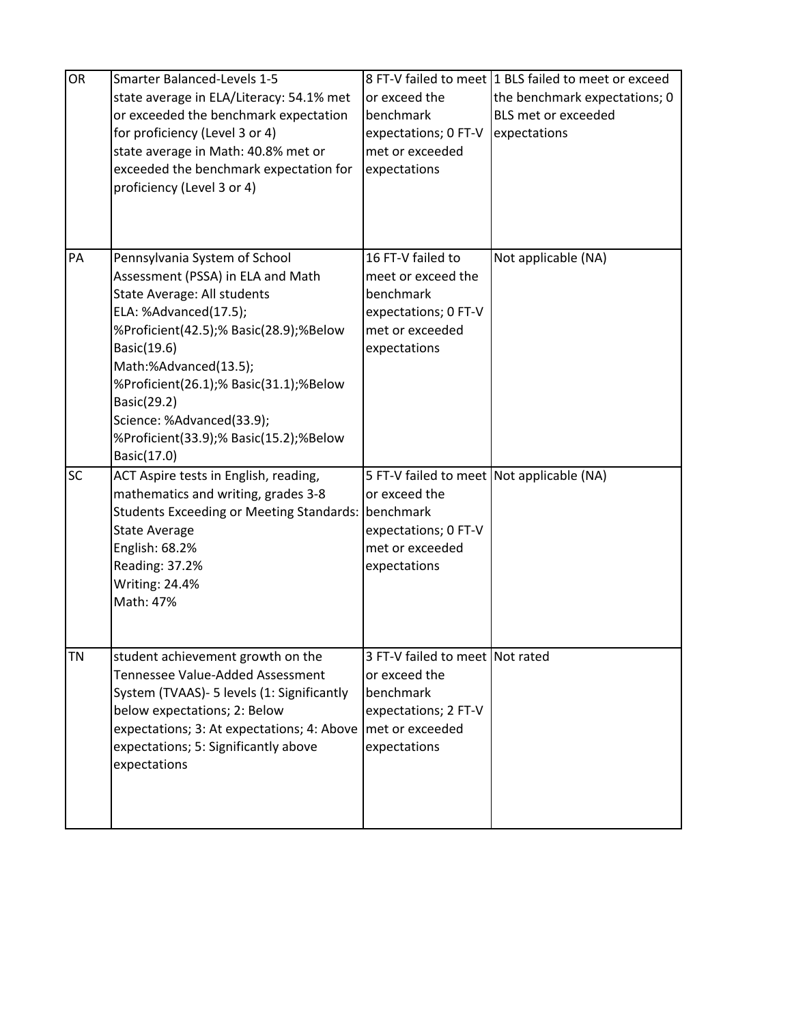| OR        | <b>Smarter Balanced-Levels 1-5</b>         |                                           | 8 FT-V failed to meet 1 BLS failed to meet or exceed |
|-----------|--------------------------------------------|-------------------------------------------|------------------------------------------------------|
|           | state average in ELA/Literacy: 54.1% met   | or exceed the                             | the benchmark expectations; 0                        |
|           | or exceeded the benchmark expectation      | benchmark                                 | BLS met or exceeded                                  |
|           | for proficiency (Level 3 or 4)             | expectations; 0 FT-V                      | expectations                                         |
|           | state average in Math: 40.8% met or        | met or exceeded                           |                                                      |
|           | exceeded the benchmark expectation for     | expectations                              |                                                      |
|           | proficiency (Level 3 or 4)                 |                                           |                                                      |
|           |                                            |                                           |                                                      |
|           |                                            |                                           |                                                      |
|           |                                            |                                           |                                                      |
| PA        | Pennsylvania System of School              | 16 FT-V failed to                         | Not applicable (NA)                                  |
|           | Assessment (PSSA) in ELA and Math          | meet or exceed the                        |                                                      |
|           | State Average: All students                | benchmark                                 |                                                      |
|           | ELA: %Advanced(17.5);                      | expectations; 0 FT-V                      |                                                      |
|           | %Proficient(42.5);% Basic(28.9);%Below     | met or exceeded                           |                                                      |
|           | Basic(19.6)                                | expectations                              |                                                      |
|           | Math:%Advanced(13.5);                      |                                           |                                                      |
|           | %Proficient(26.1);% Basic(31.1);%Below     |                                           |                                                      |
|           | Basic(29.2)                                |                                           |                                                      |
|           | Science: %Advanced(33.9);                  |                                           |                                                      |
|           | %Proficient(33.9);% Basic(15.2);%Below     |                                           |                                                      |
|           | Basic(17.0)                                |                                           |                                                      |
| SC        | ACT Aspire tests in English, reading,      | 5 FT-V failed to meet Not applicable (NA) |                                                      |
|           | mathematics and writing, grades 3-8        | or exceed the                             |                                                      |
|           | Students Exceeding or Meeting Standards:   | benchmark                                 |                                                      |
|           | <b>State Average</b>                       | expectations; 0 FT-V                      |                                                      |
|           | English: 68.2%                             | met or exceeded                           |                                                      |
|           | Reading: 37.2%                             | expectations                              |                                                      |
|           | <b>Writing: 24.4%</b>                      |                                           |                                                      |
|           | Math: 47%                                  |                                           |                                                      |
|           |                                            |                                           |                                                      |
|           |                                            |                                           |                                                      |
| <b>TN</b> | student achievement growth on the          | 3 FT-V failed to meet Not rated           |                                                      |
|           | Tennessee Value-Added Assessment           | or exceed the                             |                                                      |
|           | System (TVAAS)- 5 levels (1: Significantly | benchmark                                 |                                                      |
|           | below expectations; 2: Below               | expectations; 2 FT-V                      |                                                      |
|           | expectations; 3: At expectations; 4: Above | met or exceeded                           |                                                      |
|           | expectations; 5: Significantly above       | expectations                              |                                                      |
|           | expectations                               |                                           |                                                      |
|           |                                            |                                           |                                                      |
|           |                                            |                                           |                                                      |
|           |                                            |                                           |                                                      |